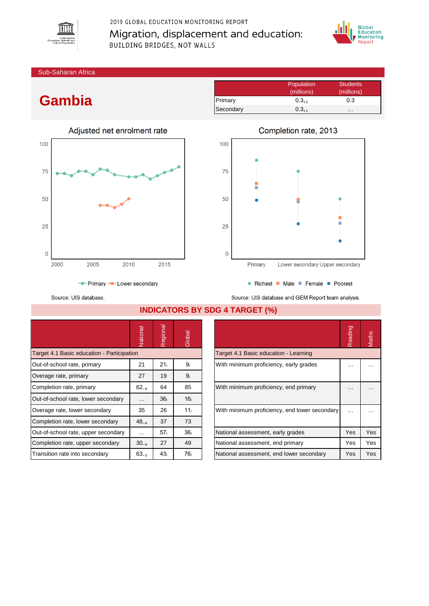

# 2019 GLOBAL EDUCATION MONITORING REPORT Migration, displacement and education: BUILDING BRIDGES, NOT WALLS



Sub-Saharan Africa

# **Gambia**



|           | Population | <b>Students</b> |
|-----------|------------|-----------------|
|           | (millions) | (millions)      |
| Primary   | $0.3_{+1}$ | 0.3             |
| Secondary | $0.3_{+1}$ | .               |



Source: UIS database.

● Richest ■ Male ■ Female ● Poorest

Source: UIS database and GEM Report team analysis.

|                                            | Vational                                                              | Regional        | Global          |                                               | Reading  | Maths |
|--------------------------------------------|-----------------------------------------------------------------------|-----------------|-----------------|-----------------------------------------------|----------|-------|
| Target 4.1 Basic education - Participation |                                                                       |                 |                 | Target 4.1 Basic education - Learning         |          |       |
| Out-of-school rate, primary                | 21 <sub>i</sub><br>21<br>9ì<br>With minimum proficiency, early grades |                 | .               |                                               |          |       |
| Overage rate, primary                      | 27                                                                    | 19              | 9 <sub>i</sub>  |                                               |          |       |
| Completion rate, primary                   | $62_{-4}$                                                             | 64              | 85              | With minimum proficiency, end primary         | .        |       |
| Out-of-school rate, lower secondary        | $\cdots$                                                              | 36 <sub>i</sub> | 16 <sub>i</sub> |                                               |          |       |
| Overage rate, lower secondary              | 35                                                                    | 26              | 11 <sub>i</sub> | With minimum proficiency, end lower secondary | $\cdots$ |       |
| Completion rate, lower secondary           | $48_{-4}$                                                             | 37              | 73              |                                               |          |       |
| Out-of-school rate, upper secondary        | .                                                                     | 57 <sub>i</sub> | 36 <sub>i</sub> | National assessment, early grades             | Yes      | Yes   |
| Completion rate, upper secondary           | $30_{-4}$                                                             | 27              | 49              | National assessment, end primary              | Yes      | Yes   |
| Transition rate into secondary             | $63_{-3}$                                                             | 43 <sub>i</sub> | 76 i            | National assessment, end lower secondary      | Yes      | Yes   |

### **INDICATORS BY SDG 4 TARGET (%)**

|                                               | Reading | laths |
|-----------------------------------------------|---------|-------|
| Target 4.1 Basic education - Learning         |         |       |
| With minimum proficiency, early grades        |         |       |
| With minimum proficiency, end primary         |         |       |
| With minimum proficiency, end lower secondary |         |       |
| National assessment, early grades             | Yes     | Yes   |
| National assessment, end primary              | Yes     | Yes   |
| National assessment, end lower secondary      | Yes     | Yes   |